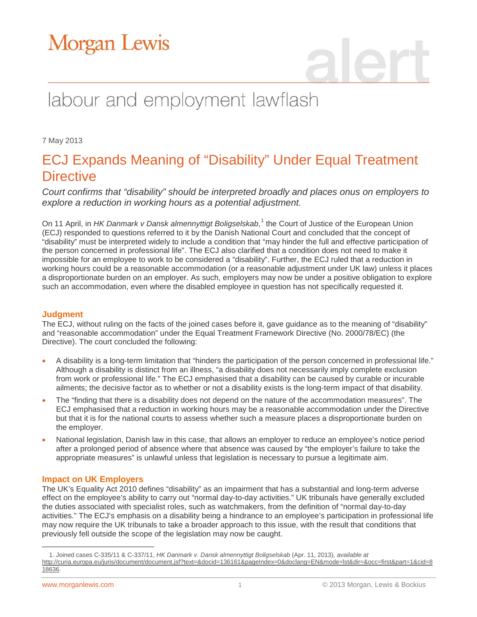# Morgan Lewis

# labour and employment lawflash

7 May 2013

### ECJ Expands Meaning of "Disability" Under Equal Treatment **Directive**

*Court confirms that "disability" should be interpreted broadly and places onus on employers to explore a reduction in working hours as a potential adjustment.*

On [1](#page-0-0)1 April, in HK Danmark v Dansk almennyttigt Boligselskab,<sup>1</sup> the Court of Justice of the European Union (ECJ) responded to questions referred to it by the Danish National Court and concluded that the concept of "disability" must be interpreted widely to include a condition that "may hinder the full and effective participation of the person concerned in professional life". The ECJ also clarified that a condition does not need to make it impossible for an employee to work to be considered a "disability". Further, the ECJ ruled that a reduction in working hours could be a reasonable accommodation (or a reasonable adjustment under UK law) unless it places a disproportionate burden on an employer. As such, employers may now be under a positive obligation to explore such an accommodation, even where the disabled employee in question has not specifically requested it.

### **Judgment**

The ECJ, without ruling on the facts of the joined cases before it, gave guidance as to the meaning of "disability" and "reasonable accommodation" under the Equal Treatment Framework Directive (No. 2000/78/EC) (the Directive). The court concluded the following:

- A disability is a long-term limitation that "hinders the participation of the person concerned in professional life." Although a disability is distinct from an illness, "a disability does not necessarily imply complete exclusion from work or professional life." The ECJ emphasised that a disability can be caused by curable or incurable ailments; the decisive factor as to whether or not a disability exists is the long-term impact of that disability.
- The "finding that there is a disability does not depend on the nature of the accommodation measures". The ECJ emphasised that a reduction in working hours may be a reasonable accommodation under the Directive but that it is for the national courts to assess whether such a measure places a disproportionate burden on the employer.
- National legislation, Danish law in this case, that allows an employer to reduce an employee's notice period after a prolonged period of absence where that absence was caused by "the employer's failure to take the appropriate measures" is unlawful unless that legislation is necessary to pursue a legitimate aim.

### **Impact on UK Employers**

The UK's Equality Act 2010 defines "disability" as an impairment that has a substantial and long-term adverse effect on the employee's ability to carry out "normal day-to-day activities." UK tribunals have generally excluded the duties associated with specialist roles, such as watchmakers, from the definition of "normal day-to-day activities." The ECJ's emphasis on a disability being a hindrance to an employee's participation in professional life may now require the UK tribunals to take a broader approach to this issue, with the result that conditions that previously fell outside the scope of the legislation may now be caught.

<span id="page-0-0"></span> $\overline{a}$ 1. Joined cases C-335/11 & C-337/11, *HK Danmark v. Dansk almennyttigt Boligselskab* (Apr. 11, 2013), *available at* [http://curia.europa.eu/juris/document/document.jsf?text=&docid=136161&pageIndex=0&doclang=EN&mode=lst&dir=&occ=first&part=1&cid=8](http://curia.europa.eu/juris/document/document.jsf?text=&docid=136161&pageIndex=0&doclang=EN&mode=lst&dir=&occ=first&part=1&cid=818636) [18636.](http://curia.europa.eu/juris/document/document.jsf?text=&docid=136161&pageIndex=0&doclang=EN&mode=lst&dir=&occ=first&part=1&cid=818636)